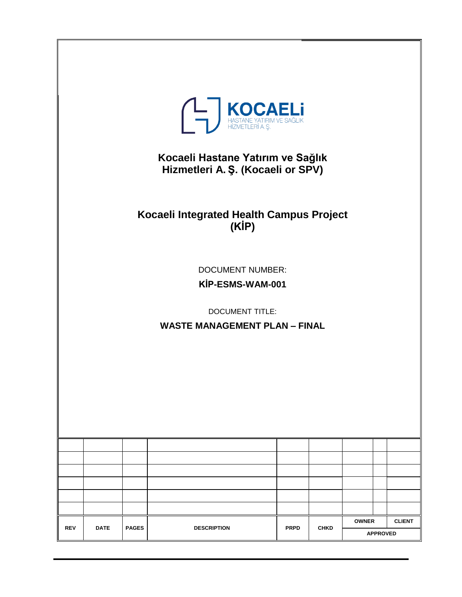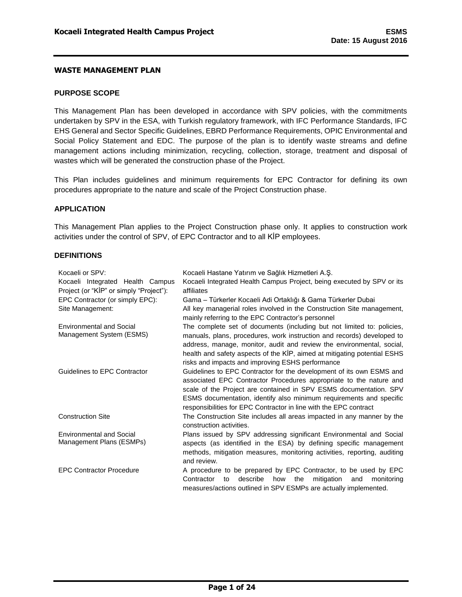#### <span id="page-2-0"></span>**PURPOSE SCOPE**

This Management Plan has been developed in accordance with SPV policies, with the commitments undertaken by SPV in the ESA, with Turkish regulatory framework, with IFC Performance Standards, IFC EHS General and Sector Specific Guidelines, EBRD Performance Requirements, OPIC Environmental and Social Policy Statement and EDC. The purpose of the plan is to identify waste streams and define management actions including minimization, recycling, collection, storage, treatment and disposal of wastes which will be generated the construction phase of the Project.

This Plan includes guidelines and minimum requirements for EPC Contractor for defining its own procedures appropriate to the nature and scale of the Project Construction phase.

#### <span id="page-2-1"></span>**APPLICATION**

This Management Plan applies to the Project Construction phase only. It applies to construction work activities under the control of SPV, of EPC Contractor and to all KİP employees.

#### <span id="page-2-2"></span>**DEFINITIONS**

| Kocaeli or SPV:<br>Kocaeli Hastane Yatırım ve Sağlık Hizmetleri A.Ş.                                                                                                                                                                                                                                                                                                                        |                                                                                                                                                                                                                                      |  |  |  |  |  |  |
|---------------------------------------------------------------------------------------------------------------------------------------------------------------------------------------------------------------------------------------------------------------------------------------------------------------------------------------------------------------------------------------------|--------------------------------------------------------------------------------------------------------------------------------------------------------------------------------------------------------------------------------------|--|--|--|--|--|--|
| Kocaeli Integrated Health Campus                                                                                                                                                                                                                                                                                                                                                            | Kocaeli Integrated Health Campus Project, being executed by SPV or its                                                                                                                                                               |  |  |  |  |  |  |
| Project (or "KIP" or simply "Project"):                                                                                                                                                                                                                                                                                                                                                     | affiliates                                                                                                                                                                                                                           |  |  |  |  |  |  |
| EPC Contractor (or simply EPC):                                                                                                                                                                                                                                                                                                                                                             | Gama - Türkerler Kocaeli Adi Ortaklığı & Gama Türkerler Dubai                                                                                                                                                                        |  |  |  |  |  |  |
| Site Management:                                                                                                                                                                                                                                                                                                                                                                            | All key managerial roles involved in the Construction Site management,<br>mainly referring to the EPC Contractor's personnel                                                                                                         |  |  |  |  |  |  |
| <b>Environmental and Social</b>                                                                                                                                                                                                                                                                                                                                                             | The complete set of documents (including but not limited to: policies,                                                                                                                                                               |  |  |  |  |  |  |
| Management System (ESMS)                                                                                                                                                                                                                                                                                                                                                                    | manuals, plans, procedures, work instruction and records) developed to<br>address, manage, monitor, audit and review the environmental, social,                                                                                      |  |  |  |  |  |  |
|                                                                                                                                                                                                                                                                                                                                                                                             | health and safety aspects of the KİP, aimed at mitigating potential ESHS<br>risks and impacts and improving ESHS performance                                                                                                         |  |  |  |  |  |  |
| Guidelines to EPC Contractor<br>Guidelines to EPC Contractor for the development of its own ESMS and<br>associated EPC Contractor Procedures appropriate to the nature and<br>scale of the Project are contained in SPV ESMS documentation. SPV<br>ESMS documentation, identify also minimum requirements and specific<br>responsibilities for EPC Contractor in line with the EPC contract |                                                                                                                                                                                                                                      |  |  |  |  |  |  |
| <b>Construction Site</b>                                                                                                                                                                                                                                                                                                                                                                    | The Construction Site includes all areas impacted in any manner by the<br>construction activities.                                                                                                                                   |  |  |  |  |  |  |
| <b>Environmental and Social</b><br>Management Plans (ESMPs)                                                                                                                                                                                                                                                                                                                                 | Plans issued by SPV addressing significant Environmental and Social<br>aspects (as identified in the ESA) by defining specific management<br>methods, mitigation measures, monitoring activities, reporting, auditing<br>and review. |  |  |  |  |  |  |
| <b>EPC Contractor Procedure</b><br>A procedure to be prepared by EPC Contractor, to be used by EPC<br>mitigation<br>Contractor<br>describe<br>how<br>the<br>and<br>to<br>monitoring<br>measures/actions outlined in SPV ESMPs are actually implemented.                                                                                                                                     |                                                                                                                                                                                                                                      |  |  |  |  |  |  |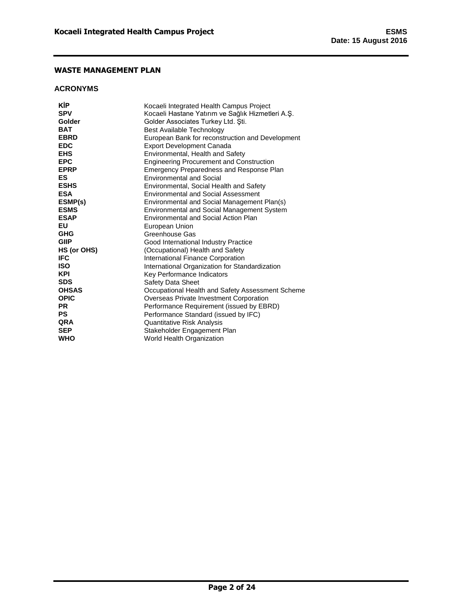### <span id="page-3-0"></span>**ACRONYMS**

| KİP                  | Kocaeli Integrated Health Campus Project          |
|----------------------|---------------------------------------------------|
| <b>SPV</b><br>Golder | Kocaeli Hastane Yatırım ve Sağlık Hizmetleri A.S. |
|                      | Golder Associates Turkey Ltd. Şti.                |
| <b>BAT</b>           | <b>Best Available Technology</b>                  |
| <b>EBRD</b>          | European Bank for reconstruction and Development  |
| <b>EDC</b>           | <b>Export Development Canada</b>                  |
| <b>EHS</b>           | Environmental, Health and Safety                  |
| <b>EPC</b>           | <b>Engineering Procurement and Construction</b>   |
| <b>EPRP</b>          | Emergency Preparedness and Response Plan          |
| ES                   | <b>Environmental and Social</b>                   |
| <b>ESHS</b>          | Environmental, Social Health and Safety           |
| <b>ESA</b>           | <b>Environmental and Social Assessment</b>        |
| ESMP(s)              | Environmental and Social Management Plan(s)       |
| <b>ESMS</b>          | Environmental and Social Management System        |
| <b>ESAP</b>          | Environmental and Social Action Plan              |
| EU                   | European Union                                    |
| GHG                  | Greenhouse Gas                                    |
| <b>GIIP</b>          | Good International Industry Practice              |
| HS (or OHS)          | (Occupational) Health and Safety                  |
| IFC                  | International Finance Corporation                 |
| ISO                  | International Organization for Standardization    |
| KPI                  | Key Performance Indicators                        |
| <b>SDS</b>           | <b>Safety Data Sheet</b>                          |
| <b>OHSAS</b>         | Occupational Health and Safety Assessment Scheme  |
| <b>OPIC</b>          | Overseas Private Investment Corporation           |
| <b>PR</b>            | Performance Requirement (issued by EBRD)          |
| <b>PS</b>            | Performance Standard (issued by IFC)              |
| QRA                  | Quantitative Risk Analysis                        |
| <b>SEP</b>           | Stakeholder Engagement Plan                       |
| WHO                  | World Health Organization                         |
|                      |                                                   |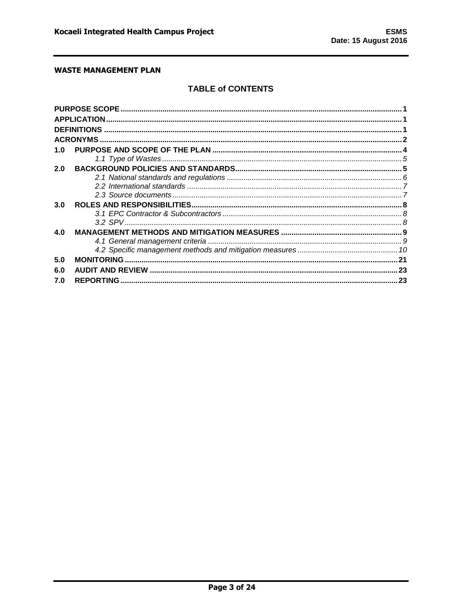# **TABLE of CONTENTS**

| 1.0 |                  |  |
|-----|------------------|--|
|     |                  |  |
| 2.0 |                  |  |
|     |                  |  |
|     |                  |  |
|     |                  |  |
| 3.0 |                  |  |
|     |                  |  |
|     |                  |  |
| 4.0 |                  |  |
|     |                  |  |
|     |                  |  |
| 5.0 |                  |  |
| 6.0 |                  |  |
| 7.0 | <b>REPORTING</b> |  |
|     |                  |  |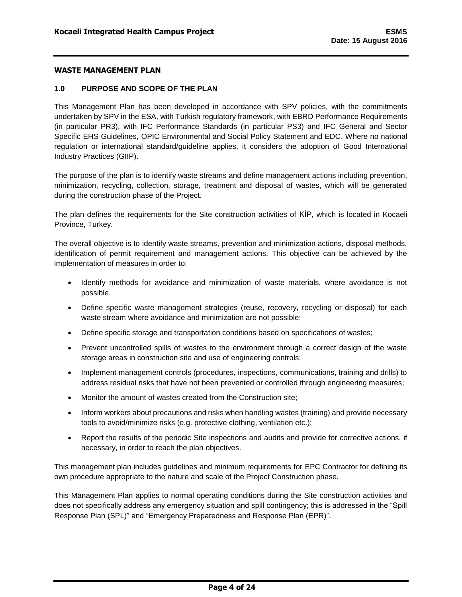#### <span id="page-5-0"></span>**1.0 PURPOSE AND SCOPE OF THE PLAN**

This Management Plan has been developed in accordance with SPV policies, with the commitments undertaken by SPV in the ESA, with Turkish regulatory framework, with EBRD Performance Requirements (in particular PR3), with IFC Performance Standards (in particular PS3) and IFC General and Sector Specific EHS Guidelines, OPIC Environmental and Social Policy Statement and EDC. Where no national regulation or international standard/guideline applies, it considers the adoption of Good International Industry Practices (GIIP).

The purpose of the plan is to identify waste streams and define management actions including prevention, minimization, recycling, collection, storage, treatment and disposal of wastes, which will be generated during the construction phase of the Project.

The plan defines the requirements for the Site construction activities of KİP, which is located in Kocaeli Province, Turkey.

The overall objective is to identify waste streams, prevention and minimization actions, disposal methods, identification of permit requirement and management actions. This objective can be achieved by the implementation of measures in order to:

- Identify methods for avoidance and minimization of waste materials, where avoidance is not possible.
- Define specific waste management strategies (reuse, recovery, recycling or disposal) for each waste stream where avoidance and minimization are not possible;
- Define specific storage and transportation conditions based on specifications of wastes;
- Prevent uncontrolled spills of wastes to the environment through a correct design of the waste storage areas in construction site and use of engineering controls;
- Implement management controls (procedures, inspections, communications, training and drills) to address residual risks that have not been prevented or controlled through engineering measures;
- Monitor the amount of wastes created from the Construction site;
- Inform workers about precautions and risks when handling wastes (training) and provide necessary tools to avoid/minimize risks (e.g. protective clothing, ventilation etc.);
- Report the results of the periodic Site inspections and audits and provide for corrective actions, if necessary, in order to reach the plan objectives.

This management plan includes guidelines and minimum requirements for EPC Contractor for defining its own procedure appropriate to the nature and scale of the Project Construction phase.

This Management Plan applies to normal operating conditions during the Site construction activities and does not specifically address any emergency situation and spill contingency; this is addressed in the "Spill Response Plan (SPL)" and "Emergency Preparedness and Response Plan (EPR)".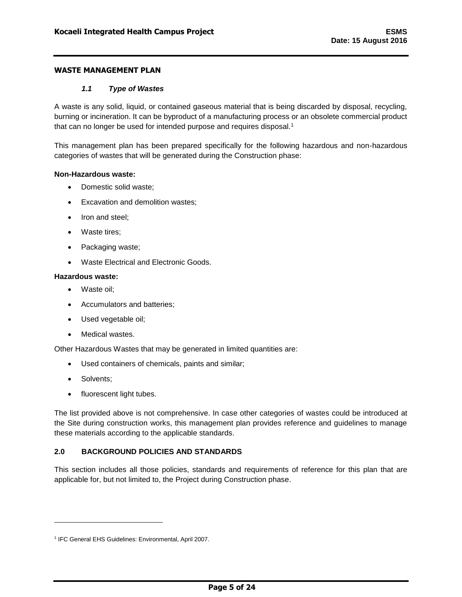#### *1.1 Type of Wastes*

<span id="page-6-0"></span>A waste is any solid, liquid, or contained gaseous material that is being discarded by disposal, recycling, burning or incineration. It can be byproduct of a manufacturing process or an obsolete commercial product that can no longer be used for intended purpose and requires disposal.<sup>1</sup>

This management plan has been prepared specifically for the following hazardous and non-hazardous categories of wastes that will be generated during the Construction phase:

#### **Non-Hazardous waste:**

- Domestic solid waste;
- Excavation and demolition wastes;
- Iron and steel;
- Waste tires;
- Packaging waste;
- Waste Electrical and Electronic Goods.

#### **Hazardous waste:**

- Waste oil;
- Accumulators and batteries;
- Used vegetable oil;
- Medical wastes.

Other Hazardous Wastes that may be generated in limited quantities are:

- Used containers of chemicals, paints and similar;
- Solvents;

l

• fluorescent light tubes.

The list provided above is not comprehensive. In case other categories of wastes could be introduced at the Site during construction works, this management plan provides reference and guidelines to manage these materials according to the applicable standards.

# <span id="page-6-1"></span>**2.0 BACKGROUND POLICIES AND STANDARDS**

This section includes all those policies, standards and requirements of reference for this plan that are applicable for, but not limited to, the Project during Construction phase.

<sup>1</sup> IFC General EHS Guidelines: Environmental, April 2007.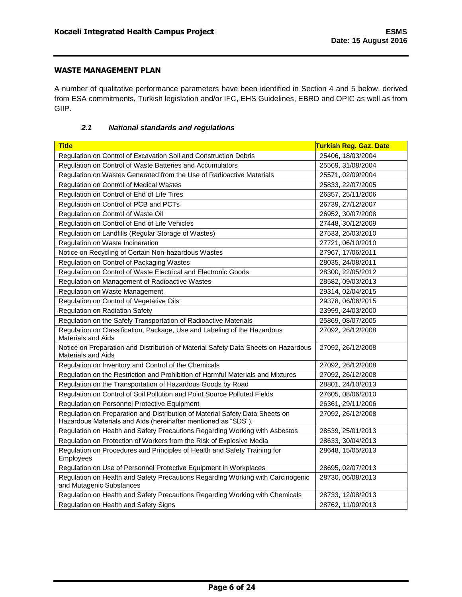A number of qualitative performance parameters have been identified in Section 4 and 5 below, derived from ESA commitments, Turkish legislation and/or IFC, EHS Guidelines, EBRD and OPIC as well as from GIIP.

### *2.1 National standards and regulations*

<span id="page-7-0"></span>

| <b>Title</b>                                                                                                                                   | Turkish Reg. Gaz. Date |
|------------------------------------------------------------------------------------------------------------------------------------------------|------------------------|
| Regulation on Control of Excavation Soil and Construction Debris                                                                               | 25406, 18/03/2004      |
| Regulation on Control of Waste Batteries and Accumulators                                                                                      | 25569, 31/08/2004      |
| Regulation on Wastes Generated from the Use of Radioactive Materials                                                                           | 25571, 02/09/2004      |
| Regulation on Control of Medical Wastes                                                                                                        | 25833, 22/07/2005      |
| Regulation on Control of End of Life Tires                                                                                                     | 26357, 25/11/2006      |
| Regulation on Control of PCB and PCTs                                                                                                          | 26739, 27/12/2007      |
| Regulation on Control of Waste Oil                                                                                                             | 26952, 30/07/2008      |
| Regulation on Control of End of Life Vehicles                                                                                                  | 27448, 30/12/2009      |
| Regulation on Landfills (Regular Storage of Wastes)                                                                                            | 27533, 26/03/2010      |
| Regulation on Waste Incineration                                                                                                               | 27721, 06/10/2010      |
| Notice on Recycling of Certain Non-hazardous Wastes                                                                                            | 27967, 17/06/2011      |
| Regulation on Control of Packaging Wastes                                                                                                      | 28035, 24/08/2011      |
| Regulation on Control of Waste Electrical and Electronic Goods                                                                                 | 28300, 22/05/2012      |
| Regulation on Management of Radioactive Wastes                                                                                                 | 28582, 09/03/2013      |
| Regulation on Waste Management                                                                                                                 | 29314, 02/04/2015      |
| Regulation on Control of Vegetative Oils                                                                                                       | 29378, 06/06/2015      |
| <b>Regulation on Radiation Safety</b>                                                                                                          | 23999, 24/03/2000      |
| Regulation on the Safely Transportation of Radioactive Materials                                                                               | 25869, 08/07/2005      |
| Regulation on Classification, Package, Use and Labeling of the Hazardous<br><b>Materials and Aids</b>                                          | 27092, 26/12/2008      |
| Notice on Preparation and Distribution of Material Safety Data Sheets on Hazardous<br><b>Materials and Aids</b>                                | 27092, 26/12/2008      |
| Regulation on Inventory and Control of the Chemicals                                                                                           | 27092, 26/12/2008      |
| Regulation on the Restriction and Prohibition of Harmful Materials and Mixtures                                                                | 27092, 26/12/2008      |
| Regulation on the Transportation of Hazardous Goods by Road                                                                                    | 28801, 24/10/2013      |
| Regulation on Control of Soil Pollution and Point Source Polluted Fields                                                                       | 27605, 08/06/2010      |
| Regulation on Personnel Protective Equipment                                                                                                   | 26361, 29/11/2006      |
| Regulation on Preparation and Distribution of Material Safety Data Sheets on<br>Hazardous Materials and Aids (hereinafter mentioned as "SDS"). | 27092, 26/12/2008      |
| Regulation on Health and Safety Precautions Regarding Working with Asbestos                                                                    | 28539, 25/01/2013      |
| Regulation on Protection of Workers from the Risk of Explosive Media                                                                           | 28633, 30/04/2013      |
| Regulation on Procedures and Principles of Health and Safety Training for<br>Employees                                                         | 28648, 15/05/2013      |
| Regulation on Use of Personnel Protective Equipment in Workplaces                                                                              | 28695, 02/07/2013      |
| Regulation on Health and Safety Precautions Regarding Working with Carcinogenic<br>and Mutagenic Substances                                    | 28730, 06/08/2013      |
| Regulation on Health and Safety Precautions Regarding Working with Chemicals                                                                   | 28733, 12/08/2013      |
| Regulation on Health and Safety Signs                                                                                                          | 28762, 11/09/2013      |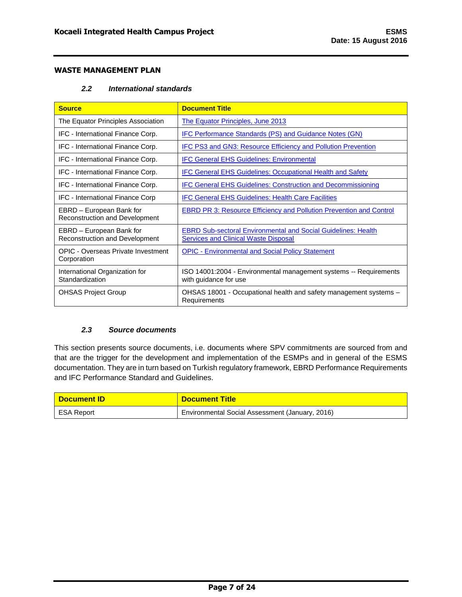### *2.2 International standards*

<span id="page-8-0"></span>

| <b>Source</b>                                              | <b>Document Title</b>                                                                                               |
|------------------------------------------------------------|---------------------------------------------------------------------------------------------------------------------|
| The Equator Principles Association                         | The Equator Principles, June 2013                                                                                   |
| IFC - International Finance Corp.                          | IFC Performance Standards (PS) and Guidance Notes (GN)                                                              |
| IFC - International Finance Corp.                          | IFC PS3 and GN3: Resource Efficiency and Pollution Prevention                                                       |
| IFC - International Finance Corp.                          | <b>IFC General EHS Guidelines: Environmental</b>                                                                    |
| IFC - International Finance Corp.                          | <b>IFC General EHS Guidelines: Occupational Health and Safety</b>                                                   |
| IFC - International Finance Corp.                          | <b>IFC General EHS Guidelines: Construction and Decommissioning</b>                                                 |
| <b>IFC - International Finance Corp</b>                    | <b>IFC General EHS Guidelines: Health Care Facilities</b>                                                           |
| EBRD – European Bank for<br>Reconstruction and Development | <b>EBRD PR 3: Resource Efficiency and Pollution Prevention and Control</b>                                          |
| EBRD – European Bank for<br>Reconstruction and Development | <b>EBRD Sub-sectoral Environmental and Social Guidelines: Health</b><br><b>Services and Clinical Waste Disposal</b> |
| OPIC - Overseas Private Investment<br>Corporation          | <b>OPIC - Environmental and Social Policy Statement</b>                                                             |
| International Organization for<br>Standardization          | ISO 14001:2004 - Environmental management systems -- Requirements<br>with guidance for use                          |
| <b>OHSAS Project Group</b>                                 | OHSAS 18001 - Occupational health and safety management systems -<br>Requirements                                   |

#### *2.3 Source documents*

<span id="page-8-1"></span>This section presents source documents, i.e. documents where SPV commitments are sourced from and that are the trigger for the development and implementation of the ESMPs and in general of the ESMS documentation. They are in turn based on Turkish regulatory framework, EBRD Performance Requirements and IFC Performance Standard and Guidelines.

| <b>Document ID</b> | <b>Document Title</b>                           |
|--------------------|-------------------------------------------------|
| ESA Report         | Environmental Social Assessment (January, 2016) |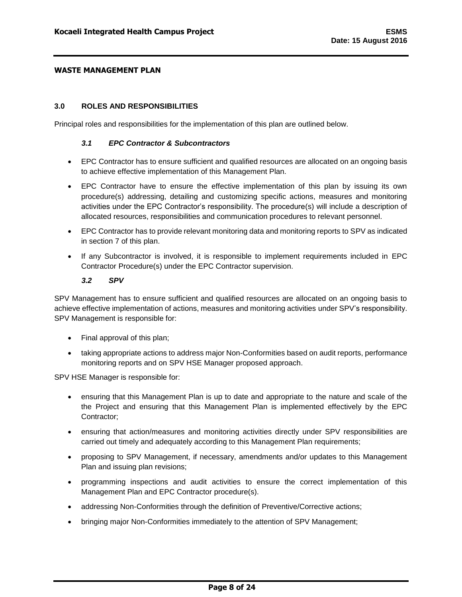#### <span id="page-9-0"></span>**3.0 ROLES AND RESPONSIBILITIES**

<span id="page-9-1"></span>Principal roles and responsibilities for the implementation of this plan are outlined below.

#### *3.1 EPC Contractor & Subcontractors*

- EPC Contractor has to ensure sufficient and qualified resources are allocated on an ongoing basis to achieve effective implementation of this Management Plan.
- EPC Contractor have to ensure the effective implementation of this plan by issuing its own procedure(s) addressing, detailing and customizing specific actions, measures and monitoring activities under the EPC Contractor's responsibility. The procedure(s) will include a description of allocated resources, responsibilities and communication procedures to relevant personnel.
- EPC Contractor has to provide relevant monitoring data and monitoring reports to SPV as indicated in section 7 of this plan.
- If any Subcontractor is involved, it is responsible to implement requirements included in EPC Contractor Procedure(s) under the EPC Contractor supervision.

#### *3.2 SPV*

<span id="page-9-2"></span>SPV Management has to ensure sufficient and qualified resources are allocated on an ongoing basis to achieve effective implementation of actions, measures and monitoring activities under SPV's responsibility. SPV Management is responsible for:

- Final approval of this plan;
- taking appropriate actions to address major Non-Conformities based on audit reports, performance monitoring reports and on SPV HSE Manager proposed approach.

SPV HSE Manager is responsible for:

- ensuring that this Management Plan is up to date and appropriate to the nature and scale of the the Project and ensuring that this Management Plan is implemented effectively by the EPC Contractor;
- ensuring that action/measures and monitoring activities directly under SPV responsibilities are carried out timely and adequately according to this Management Plan requirements;
- proposing to SPV Management, if necessary, amendments and/or updates to this Management Plan and issuing plan revisions;
- programming inspections and audit activities to ensure the correct implementation of this Management Plan and EPC Contractor procedure(s).
- addressing Non-Conformities through the definition of Preventive/Corrective actions;
- bringing major Non-Conformities immediately to the attention of SPV Management;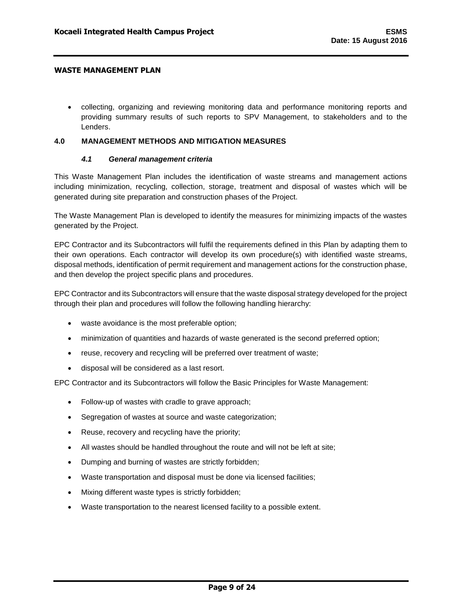collecting, organizing and reviewing monitoring data and performance monitoring reports and providing summary results of such reports to SPV Management, to stakeholders and to the Lenders.

### <span id="page-10-0"></span>**4.0 MANAGEMENT METHODS AND MITIGATION MEASURES**

### *4.1 General management criteria*

<span id="page-10-1"></span>This Waste Management Plan includes the identification of waste streams and management actions including minimization, recycling, collection, storage, treatment and disposal of wastes which will be generated during site preparation and construction phases of the Project.

The Waste Management Plan is developed to identify the measures for minimizing impacts of the wastes generated by the Project.

EPC Contractor and its Subcontractors will fulfil the requirements defined in this Plan by adapting them to their own operations. Each contractor will develop its own procedure(s) with identified waste streams, disposal methods, identification of permit requirement and management actions for the construction phase, and then develop the project specific plans and procedures.

EPC Contractor and its Subcontractors will ensure that the waste disposal strategy developed for the project through their plan and procedures will follow the following handling hierarchy:

- waste avoidance is the most preferable option;
- minimization of quantities and hazards of waste generated is the second preferred option;
- reuse, recovery and recycling will be preferred over treatment of waste;
- disposal will be considered as a last resort.

EPC Contractor and its Subcontractors will follow the Basic Principles for Waste Management:

- Follow-up of wastes with cradle to grave approach;
- Segregation of wastes at source and waste categorization;
- Reuse, recovery and recycling have the priority;
- All wastes should be handled throughout the route and will not be left at site;
- Dumping and burning of wastes are strictly forbidden;
- Waste transportation and disposal must be done via licensed facilities;
- Mixing different waste types is strictly forbidden;
- Waste transportation to the nearest licensed facility to a possible extent.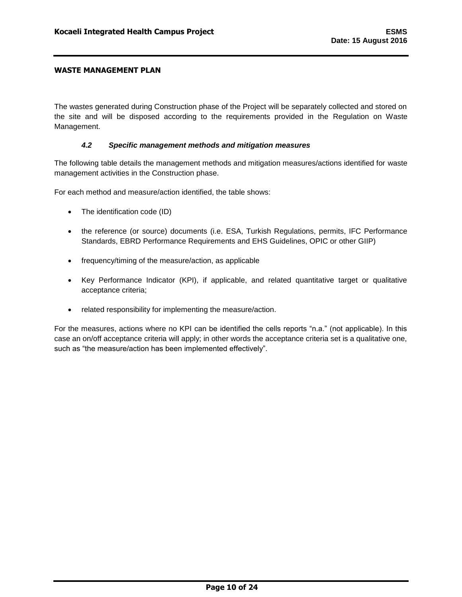The wastes generated during Construction phase of the Project will be separately collected and stored on the site and will be disposed according to the requirements provided in the Regulation on Waste Management.

#### *4.2 Specific management methods and mitigation measures*

<span id="page-11-0"></span>The following table details the management methods and mitigation measures/actions identified for waste management activities in the Construction phase.

For each method and measure/action identified, the table shows:

- The identification code (ID)
- the reference (or source) documents (i.e. ESA, Turkish Regulations, permits, IFC Performance Standards, EBRD Performance Requirements and EHS Guidelines, OPIC or other GIIP)
- frequency/timing of the measure/action, as applicable
- Key Performance Indicator (KPI), if applicable, and related quantitative target or qualitative acceptance criteria;
- related responsibility for implementing the measure/action.

For the measures, actions where no KPI can be identified the cells reports "n.a." (not applicable). In this case an on/off acceptance criteria will apply; in other words the acceptance criteria set is a qualitative one, such as "the measure/action has been implemented effectively".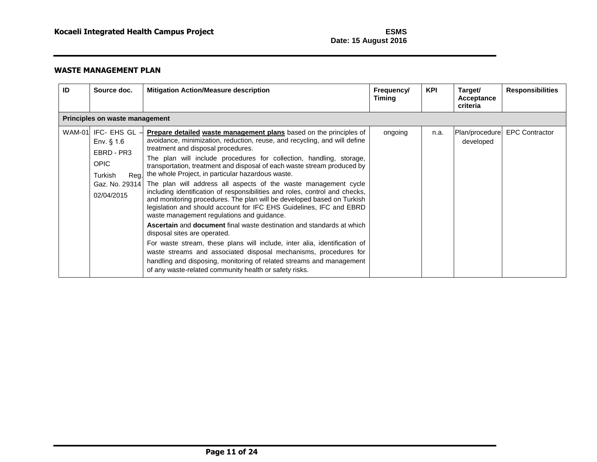| ID | Source doc.                                                                                | <b>Mitigation Action/Measure description</b>                                                                                                                                                                                                                                                                                                                                                                                                                                                                                                                                                                                                                                                                                                                                                                                                                                                                                                                                                                                                                                                                                                                                       | Frequency/<br><b>Timing</b> | <b>KPI</b> | Target/<br>Acceptance<br>criteria | <b>Responsibilities</b> |
|----|--------------------------------------------------------------------------------------------|------------------------------------------------------------------------------------------------------------------------------------------------------------------------------------------------------------------------------------------------------------------------------------------------------------------------------------------------------------------------------------------------------------------------------------------------------------------------------------------------------------------------------------------------------------------------------------------------------------------------------------------------------------------------------------------------------------------------------------------------------------------------------------------------------------------------------------------------------------------------------------------------------------------------------------------------------------------------------------------------------------------------------------------------------------------------------------------------------------------------------------------------------------------------------------|-----------------------------|------------|-----------------------------------|-------------------------|
|    | Principles on waste management                                                             |                                                                                                                                                                                                                                                                                                                                                                                                                                                                                                                                                                                                                                                                                                                                                                                                                                                                                                                                                                                                                                                                                                                                                                                    |                             |            |                                   |                         |
|    | WAM-01 IFC- EHS GL -<br>Env. $§$ 1.6<br>EBRD - PR3<br><b>OPIC</b><br>Turkish<br>02/04/2015 | <b>Prepare detailed waste management plans</b> based on the principles of<br>avoidance, minimization, reduction, reuse, and recycling, and will define<br>treatment and disposal procedures.<br>The plan will include procedures for collection, handling, storage,<br>transportation, treatment and disposal of each waste stream produced by<br>Reg. the whole Project, in particular hazardous waste.<br>Gaz. No. 29314 The plan will address all aspects of the waste management cycle<br>including identification of responsibilities and roles, control and checks,<br>and monitoring procedures. The plan will be developed based on Turkish<br>legislation and should account for IFC EHS Guidelines, IFC and EBRD<br>waste management regulations and guidance.<br><b>Ascertain</b> and <b>document</b> final waste destination and standards at which<br>disposal sites are operated.<br>For waste stream, these plans will include, inter alia, identification of<br>waste streams and associated disposal mechanisms, procedures for<br>handling and disposing, monitoring of related streams and management<br>of any waste-related community health or safety risks. | ongoing                     | n.a.       | Plan/procedure<br>developed       | <b>EPC Contractor</b>   |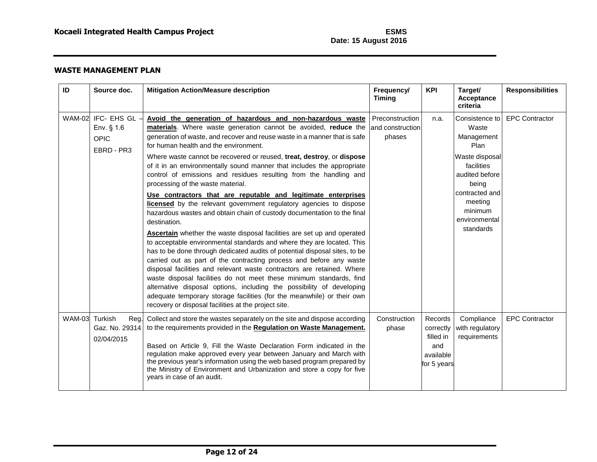| ID            | Source doc.                                                     | <b>Mitigation Action/Measure description</b>                                                                                                                                                                                                                                                                                                                                                                                                                                                                                                                                                                                                                                                                                                                                                                                                                                                                                                                                                                                                                                                                                                                                                                                                                                                                                                                                                                            | Frequency/<br><b>Timing</b>                    | <b>KPI</b>                                                           | Target/<br><b>Acceptance</b><br>criteria                                                                                                                                       | <b>Responsibilities</b> |
|---------------|-----------------------------------------------------------------|-------------------------------------------------------------------------------------------------------------------------------------------------------------------------------------------------------------------------------------------------------------------------------------------------------------------------------------------------------------------------------------------------------------------------------------------------------------------------------------------------------------------------------------------------------------------------------------------------------------------------------------------------------------------------------------------------------------------------------------------------------------------------------------------------------------------------------------------------------------------------------------------------------------------------------------------------------------------------------------------------------------------------------------------------------------------------------------------------------------------------------------------------------------------------------------------------------------------------------------------------------------------------------------------------------------------------------------------------------------------------------------------------------------------------|------------------------------------------------|----------------------------------------------------------------------|--------------------------------------------------------------------------------------------------------------------------------------------------------------------------------|-------------------------|
|               | WAM-02 IFC- EHS GL<br>Env. $§$ 1.6<br><b>OPIC</b><br>EBRD - PR3 | Avoid the generation of hazardous and non-hazardous waste<br>materials. Where waste generation cannot be avoided, reduce the<br>generation of waste, and recover and reuse waste in a manner that is safe<br>for human health and the environment.<br>Where waste cannot be recovered or reused, treat, destroy, or dispose<br>of it in an environmentally sound manner that includes the appropriate<br>control of emissions and residues resulting from the handling and<br>processing of the waste material.<br>Use contractors that are reputable and legitimate enterprises<br>licensed by the relevant government regulatory agencies to dispose<br>hazardous wastes and obtain chain of custody documentation to the final<br>destination.<br>Ascertain whether the waste disposal facilities are set up and operated<br>to acceptable environmental standards and where they are located. This<br>has to be done through dedicated audits of potential disposal sites, to be<br>carried out as part of the contracting process and before any waste<br>disposal facilities and relevant waste contractors are retained. Where<br>waste disposal facilities do not meet these minimum standards, find<br>alternative disposal options, including the possibility of developing<br>adequate temporary storage facilities (for the meanwhile) or their own<br>recovery or disposal facilities at the project site. | Preconstruction<br>land construction<br>phases | n.a.                                                                 | Consistence to<br>Waste<br>Management<br>Plan<br>Waste disposal<br>facilities<br>audited before<br>being<br>contracted and<br>meeting<br>minimum<br>environmental<br>standards | <b>EPC Contractor</b>   |
| <b>WAM-03</b> | Turkish<br>Reg.<br>Gaz. No. 29314<br>02/04/2015                 | Collect and store the wastes separately on the site and dispose according<br>to the requirements provided in the Regulation on Waste Management.<br>Based on Article 9, Fill the Waste Declaration Form indicated in the<br>regulation make approved every year between January and March with<br>the previous year's information using the web based program prepared by<br>the Ministry of Environment and Urbanization and store a copy for five<br>years in case of an audit.                                                                                                                                                                                                                                                                                                                                                                                                                                                                                                                                                                                                                                                                                                                                                                                                                                                                                                                                       | Construction<br>phase                          | Records<br>correctly<br>filled in<br>and<br>available<br>for 5 years | Compliance<br>with regulatory<br>requirements                                                                                                                                  | <b>EPC Contractor</b>   |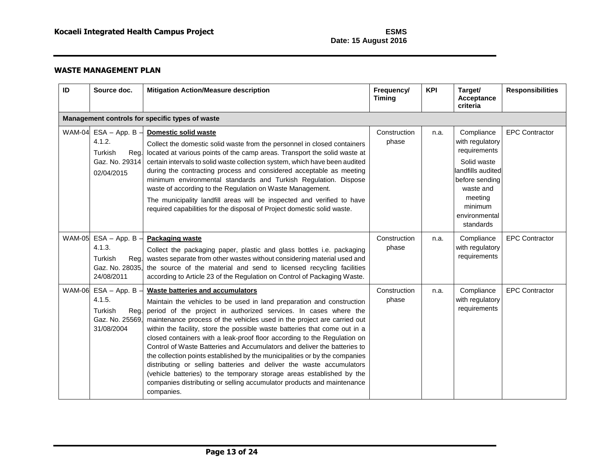| ID            | Source doc.                                                                        | <b>Mitigation Action/Measure description</b>                                                                                                                                                                                                                                                                                                                                                                                                                                                                                                                                                                                                                                                                                                                                                                           | Frequency/<br><b>Timing</b> | <b>KPI</b> | Target/<br>Acceptance<br>criteria                                                                                                                                   | <b>Responsibilities</b> |
|---------------|------------------------------------------------------------------------------------|------------------------------------------------------------------------------------------------------------------------------------------------------------------------------------------------------------------------------------------------------------------------------------------------------------------------------------------------------------------------------------------------------------------------------------------------------------------------------------------------------------------------------------------------------------------------------------------------------------------------------------------------------------------------------------------------------------------------------------------------------------------------------------------------------------------------|-----------------------------|------------|---------------------------------------------------------------------------------------------------------------------------------------------------------------------|-------------------------|
|               |                                                                                    | Management controls for specific types of waste                                                                                                                                                                                                                                                                                                                                                                                                                                                                                                                                                                                                                                                                                                                                                                        |                             |            |                                                                                                                                                                     |                         |
|               | WAM-04 $ESA - App. B$<br>4.1.2.<br>Turkish<br>Reg.<br>Gaz. No. 29314<br>02/04/2015 | Domestic solid waste<br>Collect the domestic solid waste from the personnel in closed containers<br>located at various points of the camp areas. Transport the solid waste at<br>certain intervals to solid waste collection system, which have been audited<br>during the contracting process and considered acceptable as meeting<br>minimum environmental standards and Turkish Regulation. Dispose<br>waste of according to the Regulation on Waste Management.<br>The municipality landfill areas will be inspected and verified to have<br>required capabilities for the disposal of Project domestic solid waste.                                                                                                                                                                                               | Construction<br>phase       | n.a.       | Compliance<br>with regulatory<br>requirements<br>Solid waste<br>andfills audited<br>before sending<br>waste and<br>meeting<br>minimum<br>environmental<br>standards | <b>EPC Contractor</b>   |
| <b>WAM-05</b> | $ESA - App. B -$<br>4.1.3.<br>Turkish<br>Reg.<br>Gaz. No. 28035,<br>24/08/2011     | <b>Packaging waste</b><br>Collect the packaging paper, plastic and glass bottles i.e. packaging<br>wastes separate from other wastes without considering material used and<br>the source of the material and send to licensed recycling facilities<br>according to Article 23 of the Regulation on Control of Packaging Waste.                                                                                                                                                                                                                                                                                                                                                                                                                                                                                         | Construction<br>phase       | n.a.       | Compliance<br>with regulatory<br>requirements                                                                                                                       | <b>EPC Contractor</b>   |
| <b>WAM-06</b> | $ESA - App. B$<br>4.1.5.<br>Turkish<br>Reg.<br>Gaz. No. 25569,<br>31/08/2004       | Waste batteries and accumulators<br>Maintain the vehicles to be used in land preparation and construction<br>period of the project in authorized services. In cases where the<br>maintenance process of the vehicles used in the project are carried out<br>within the facility, store the possible waste batteries that come out in a<br>closed containers with a leak-proof floor according to the Regulation on<br>Control of Waste Batteries and Accumulators and deliver the batteries to<br>the collection points established by the municipalities or by the companies<br>distributing or selling batteries and deliver the waste accumulators<br>(vehicle batteries) to the temporary storage areas established by the<br>companies distributing or selling accumulator products and maintenance<br>companies. | Construction<br>phase       | n.a.       | Compliance<br>with regulatory<br>requirements                                                                                                                       | <b>EPC Contractor</b>   |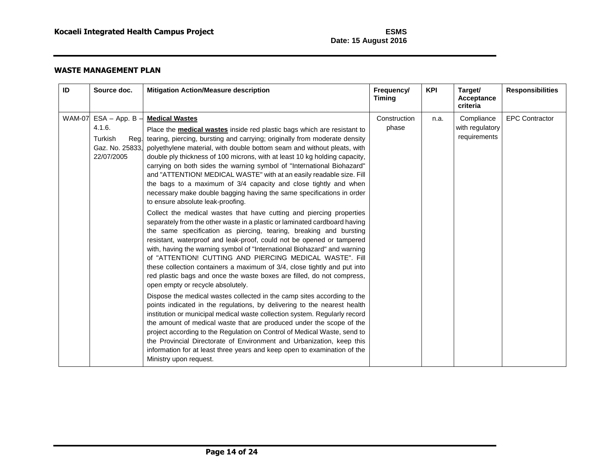| ID            | Source doc.                                                                  | <b>Mitigation Action/Measure description</b>                                                                                                                                                                                                                                                                                                                                                                                                                                                                                                                                                                                                                                                                                                                                                                                                                                                                                                                                                                                                                                                                                                                                                                                                                                                                                                                                                                                                                                                                                                                                                                                                                                                                                                                                                                                                                                                       | Frequency/<br><b>Timing</b> | <b>KPI</b> | Target/<br>Acceptance<br>criteria             | <b>Responsibilities</b> |
|---------------|------------------------------------------------------------------------------|----------------------------------------------------------------------------------------------------------------------------------------------------------------------------------------------------------------------------------------------------------------------------------------------------------------------------------------------------------------------------------------------------------------------------------------------------------------------------------------------------------------------------------------------------------------------------------------------------------------------------------------------------------------------------------------------------------------------------------------------------------------------------------------------------------------------------------------------------------------------------------------------------------------------------------------------------------------------------------------------------------------------------------------------------------------------------------------------------------------------------------------------------------------------------------------------------------------------------------------------------------------------------------------------------------------------------------------------------------------------------------------------------------------------------------------------------------------------------------------------------------------------------------------------------------------------------------------------------------------------------------------------------------------------------------------------------------------------------------------------------------------------------------------------------------------------------------------------------------------------------------------------------|-----------------------------|------------|-----------------------------------------------|-------------------------|
| <b>WAM-07</b> | $ESA - App. B$<br>4.1.6.<br>Turkish<br>Reg.<br>Gaz. No. 25833,<br>22/07/2005 | <b>Medical Wastes</b><br>Place the <b>medical wastes</b> inside red plastic bags which are resistant to<br>tearing, piercing, bursting and carrying; originally from moderate density<br>polyethylene material, with double bottom seam and without pleats, with<br>double ply thickness of 100 microns, with at least 10 kg holding capacity,<br>carrying on both sides the warning symbol of "International Biohazard"<br>and "ATTENTION! MEDICAL WASTE" with at an easily readable size. Fill<br>the bags to a maximum of 3/4 capacity and close tightly and when<br>necessary make double bagging having the same specifications in order<br>to ensure absolute leak-proofing.<br>Collect the medical wastes that have cutting and piercing properties<br>separately from the other waste in a plastic or laminated cardboard having<br>the same specification as piercing, tearing, breaking and bursting<br>resistant, waterproof and leak-proof, could not be opened or tampered<br>with, having the warning symbol of "International Biohazard" and warning<br>of "ATTENTION! CUTTING AND PIERCING MEDICAL WASTE". Fill<br>these collection containers a maximum of 3/4, close tightly and put into<br>red plastic bags and once the waste boxes are filled, do not compress,<br>open empty or recycle absolutely.<br>Dispose the medical wastes collected in the camp sites according to the<br>points indicated in the regulations, by delivering to the nearest health<br>institution or municipal medical waste collection system. Regularly record<br>the amount of medical waste that are produced under the scope of the<br>project according to the Regulation on Control of Medical Waste, send to<br>the Provincial Directorate of Environment and Urbanization, keep this<br>information for at least three years and keep open to examination of the<br>Ministry upon request. | Construction<br>phase       | n.a.       | Compliance<br>with regulatory<br>requirements | <b>EPC Contractor</b>   |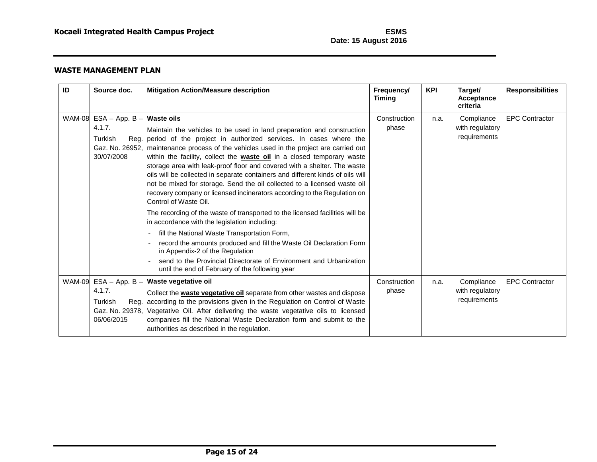| ID | Source doc.                                                                           | <b>Mitigation Action/Measure description</b>                                                                                                                                                                                                                                                                                                                                                                                                                                                                                                                                                                                                                                                                                                                                                                                                                                                                                                                                                                                                                                                            | Frequency/<br><b>Timing</b> | <b>KPI</b> | Target/<br>Acceptance<br>criteria             | <b>Responsibilities</b> |
|----|---------------------------------------------------------------------------------------|---------------------------------------------------------------------------------------------------------------------------------------------------------------------------------------------------------------------------------------------------------------------------------------------------------------------------------------------------------------------------------------------------------------------------------------------------------------------------------------------------------------------------------------------------------------------------------------------------------------------------------------------------------------------------------------------------------------------------------------------------------------------------------------------------------------------------------------------------------------------------------------------------------------------------------------------------------------------------------------------------------------------------------------------------------------------------------------------------------|-----------------------------|------------|-----------------------------------------------|-------------------------|
|    | WAM-08 $ESA - App. B -$<br>4.1.7.<br>Turkish<br>Reg.<br>Gaz. No. 26952.<br>30/07/2008 | <b>Waste oils</b><br>Maintain the vehicles to be used in land preparation and construction<br>period of the project in authorized services. In cases where the<br>maintenance process of the vehicles used in the project are carried out<br>within the facility, collect the <b>waste oil</b> in a closed temporary waste<br>storage area with leak-proof floor and covered with a shelter. The waste<br>oils will be collected in separate containers and different kinds of oils will<br>not be mixed for storage. Send the oil collected to a licensed waste oil<br>recovery company or licensed incinerators according to the Regulation on<br>Control of Waste Oil.<br>The recording of the waste of transported to the licensed facilities will be<br>in accordance with the legislation including:<br>fill the National Waste Transportation Form,<br>$\sim$<br>record the amounts produced and fill the Waste Oil Declaration Form<br>in Appendix-2 of the Regulation<br>send to the Provincial Directorate of Environment and Urbanization<br>until the end of February of the following year | Construction<br>phase       | n.a.       | Compliance<br>with regulatory<br>requirements | <b>EPC Contractor</b>   |
|    | WAM-09 $ESA - App. B -$<br>4.1.7.<br>Turkish<br>Gaz. No. 29378,<br>06/06/2015         | Waste vegetative oil<br>Collect the <b>waste vegetative oil</b> separate from other wastes and dispose<br>Reg. according to the provisions given in the Regulation on Control of Waste<br>Vegetative Oil. After delivering the waste vegetative oils to licensed<br>companies fill the National Waste Declaration form and submit to the<br>authorities as described in the regulation.                                                                                                                                                                                                                                                                                                                                                                                                                                                                                                                                                                                                                                                                                                                 | Construction<br>phase       | n.a.       | Compliance<br>with regulatory<br>requirements | <b>EPC Contractor</b>   |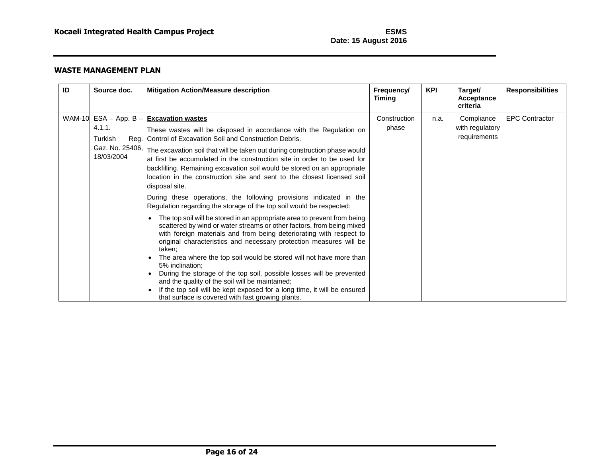| ID | Source doc.                                                                           | <b>Mitigation Action/Measure description</b>                                                                                                                                                                                                                                                                                                                                                                                                                                                                                                                                                                                                                                                                                                                                                                                                                                                                                                                                                                                                                                                                                                                                                                                                                                                                                        | Frequency/<br>Timing  | <b>KPI</b> | Target/<br>Acceptance<br>criteria             | <b>Responsibilities</b> |
|----|---------------------------------------------------------------------------------------|-------------------------------------------------------------------------------------------------------------------------------------------------------------------------------------------------------------------------------------------------------------------------------------------------------------------------------------------------------------------------------------------------------------------------------------------------------------------------------------------------------------------------------------------------------------------------------------------------------------------------------------------------------------------------------------------------------------------------------------------------------------------------------------------------------------------------------------------------------------------------------------------------------------------------------------------------------------------------------------------------------------------------------------------------------------------------------------------------------------------------------------------------------------------------------------------------------------------------------------------------------------------------------------------------------------------------------------|-----------------------|------------|-----------------------------------------------|-------------------------|
|    | WAM-10 ESA - App. B $-$<br>4.1.1.<br>Turkish<br>Reg.<br>Gaz. No. 25406,<br>18/03/2004 | <b>Excavation wastes</b><br>These wastes will be disposed in accordance with the Regulation on<br>Control of Excavation Soil and Construction Debris.<br>The excavation soil that will be taken out during construction phase would<br>at first be accumulated in the construction site in order to be used for<br>backfilling. Remaining excavation soil would be stored on an appropriate<br>location in the construction site and sent to the closest licensed soil<br>disposal site.<br>During these operations, the following provisions indicated in the<br>Regulation regarding the storage of the top soil would be respected:<br>The top soil will be stored in an appropriate area to prevent from being<br>$\bullet$<br>scattered by wind or water streams or other factors, from being mixed<br>with foreign materials and from being deteriorating with respect to<br>original characteristics and necessary protection measures will be<br>taken;<br>The area where the top soil would be stored will not have more than<br>5% inclination;<br>During the storage of the top soil, possible losses will be prevented<br>$\bullet$<br>and the quality of the soil will be maintained;<br>If the top soil will be kept exposed for a long time, it will be ensured<br>that surface is covered with fast growing plants. | Construction<br>phase | n.a.       | Compliance<br>with regulatory<br>requirements | <b>EPC Contractor</b>   |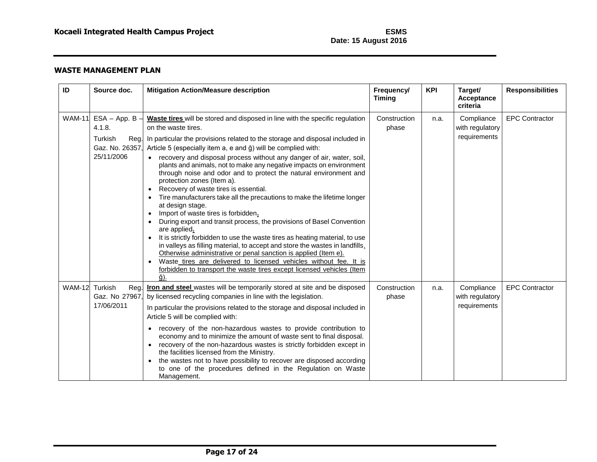| ID            | Source doc.                                                            | <b>Mitigation Action/Measure description</b>                                                                                                                                                                                                                                                                                                                                                                                                                                                                                                                                                                                                                                                                                                                                                                                                                                                                                                                                                                                                                                                                                                                                                          | Frequency/<br><b>Timing</b> | <b>KPI</b> | Target/<br><b>Acceptance</b><br>criteria      | <b>Responsibilities</b> |
|---------------|------------------------------------------------------------------------|-------------------------------------------------------------------------------------------------------------------------------------------------------------------------------------------------------------------------------------------------------------------------------------------------------------------------------------------------------------------------------------------------------------------------------------------------------------------------------------------------------------------------------------------------------------------------------------------------------------------------------------------------------------------------------------------------------------------------------------------------------------------------------------------------------------------------------------------------------------------------------------------------------------------------------------------------------------------------------------------------------------------------------------------------------------------------------------------------------------------------------------------------------------------------------------------------------|-----------------------------|------------|-----------------------------------------------|-------------------------|
| <b>WAM-11</b> | $ESA - App. B -$<br>4.1.8.<br>Turkish<br>Gaz. No. 26357,<br>25/11/2006 | Waste tires will be stored and disposed in line with the specific regulation<br>on the waste tires.<br>Reg. In particular the provisions related to the storage and disposal included in<br>Article 5 (especially item a, e and ğ) will be complied with:<br>recovery and disposal process without any danger of air, water, soil,<br>plants and animals, not to make any negative impacts on environment<br>through noise and odor and to protect the natural environment and<br>protection zones (Item a).<br>Recovery of waste tires is essential.<br>$\bullet$<br>Tire manufacturers take all the precautions to make the lifetime longer<br>at design stage.<br>Import of waste tires is forbidden.<br>$\bullet$<br>During export and transit process, the provisions of Basel Convention<br>are applied.<br>It is strictly forbidden to use the waste tires as heating material, to use<br>in valleys as filling material, to accept and store the wastes in landfills.<br>Otherwise administrative or penal sanction is applied (Item e).<br>Waste tires are delivered to licensed vehicles without fee. It is<br>forbidden to transport the waste tires except licensed vehicles (Item<br>ă). | Construction<br>phase       | n.a.       | Compliance<br>with regulatory<br>requirements | <b>EPC Contractor</b>   |
| <b>WAM-12</b> | Turkish<br>Reg.<br>Gaz. No 27967,<br>17/06/2011                        | Iron and steel wastes will be temporarily stored at site and be disposed<br>by licensed recycling companies in line with the legislation.<br>In particular the provisions related to the storage and disposal included in<br>Article 5 will be complied with:<br>recovery of the non-hazardous wastes to provide contribution to<br>$\bullet$<br>economy and to minimize the amount of waste sent to final disposal.<br>recovery of the non-hazardous wastes is strictly forbidden except in<br>the facilities licensed from the Ministry.<br>the wastes not to have possibility to recover are disposed according<br>to one of the procedures defined in the Regulation on Waste<br>Management.                                                                                                                                                                                                                                                                                                                                                                                                                                                                                                      | Construction<br>phase       | n.a.       | Compliance<br>with regulatory<br>requirements | <b>EPC Contractor</b>   |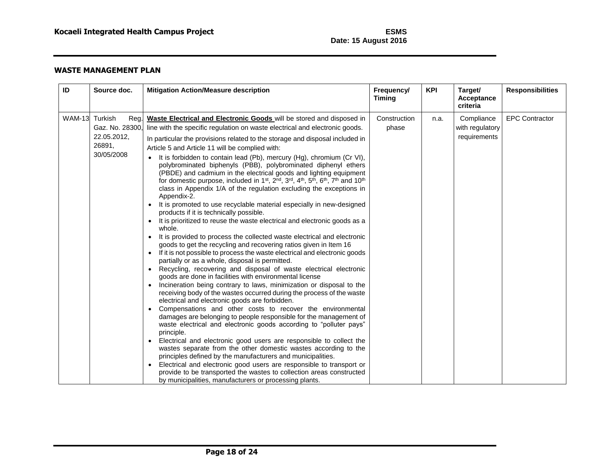| ID            | Source doc.                                                               | <b>Mitigation Action/Measure description</b>                                                                                                                                                                                                                                                                                                                                                                                                                                                                                                                                                                                                                                                                                                                                                                                                                                                                                                                                                                                                                                                                                                                                                                                                                                                                                                                                                                                                                                                                                                                                                                                                                                                                                                                                                                                                                                                                                                                                                                                                                                                                                                                                                                                                               | Frequency/<br><b>Timing</b> | <b>KPI</b> | Target/<br><b>Acceptance</b><br>criteria      | <b>Responsibilities</b> |
|---------------|---------------------------------------------------------------------------|------------------------------------------------------------------------------------------------------------------------------------------------------------------------------------------------------------------------------------------------------------------------------------------------------------------------------------------------------------------------------------------------------------------------------------------------------------------------------------------------------------------------------------------------------------------------------------------------------------------------------------------------------------------------------------------------------------------------------------------------------------------------------------------------------------------------------------------------------------------------------------------------------------------------------------------------------------------------------------------------------------------------------------------------------------------------------------------------------------------------------------------------------------------------------------------------------------------------------------------------------------------------------------------------------------------------------------------------------------------------------------------------------------------------------------------------------------------------------------------------------------------------------------------------------------------------------------------------------------------------------------------------------------------------------------------------------------------------------------------------------------------------------------------------------------------------------------------------------------------------------------------------------------------------------------------------------------------------------------------------------------------------------------------------------------------------------------------------------------------------------------------------------------------------------------------------------------------------------------------------------------|-----------------------------|------------|-----------------------------------------------|-------------------------|
| <b>WAM-13</b> | Turkish<br>Reg.<br>Gaz. No. 28300,<br>22.05.2012,<br>26891,<br>30/05/2008 | Waste Electrical and Electronic Goods will be stored and disposed in<br>line with the specific regulation on waste electrical and electronic goods.<br>In particular the provisions related to the storage and disposal included in<br>Article 5 and Article 11 will be complied with:<br>It is forbidden to contain lead (Pb), mercury (Hg), chromium (Cr VI),<br>polybrominated biphenyls (PBB), polybrominated diphenyl ethers<br>(PBDE) and cadmium in the electrical goods and lighting equipment<br>for domestic purpose, included in 1 <sup>st</sup> , 2 <sup>nd</sup> , 3 <sup>rd</sup> , 4 <sup>th</sup> , 5 <sup>th</sup> , 6 <sup>th</sup> , 7 <sup>th</sup> and 10 <sup>th</sup><br>class in Appendix 1/A of the regulation excluding the exceptions in<br>Appendix-2.<br>It is promoted to use recyclable material especially in new-designed<br>products if it is technically possible.<br>It is prioritized to reuse the waste electrical and electronic goods as a<br>whole.<br>It is provided to process the collected waste electrical and electronic<br>goods to get the recycling and recovering ratios given in Item 16<br>If it is not possible to process the waste electrical and electronic goods<br>partially or as a whole, disposal is permitted.<br>Recycling, recovering and disposal of waste electrical electronic<br>goods are done in facilities with environmental license<br>Incineration being contrary to laws, minimization or disposal to the<br>receiving body of the wastes occurred during the process of the waste<br>electrical and electronic goods are forbidden.<br>Compensations and other costs to recover the environmental<br>damages are belonging to people responsible for the management of<br>waste electrical and electronic goods according to "polluter pays"<br>principle.<br>Electrical and electronic good users are responsible to collect the<br>wastes separate from the other domestic wastes according to the<br>principles defined by the manufacturers and municipalities.<br>Electrical and electronic good users are responsible to transport or<br>provide to be transported the wastes to collection areas constructed<br>by municipalities, manufacturers or processing plants. | Construction<br>phase       | n.a.       | Compliance<br>with regulatory<br>requirements | <b>EPC Contractor</b>   |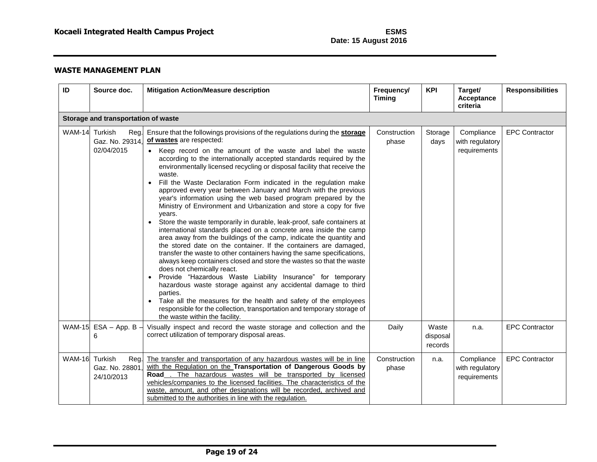| ID            | Source doc.                                      | <b>Mitigation Action/Measure description</b>                                                                                                                                                                                                                                                                                                                                                                                                                                                                                                                                                                                                                                                                                                                                                                                                                                                                                                                                                                                                                                                                                                                                                                                                                                                                                                                                                                                                       | Frequency/<br><b>Timing</b> | <b>KPI</b>                   | Target/<br><b>Acceptance</b><br>criteria      | <b>Responsibilities</b> |  |  |
|---------------|--------------------------------------------------|----------------------------------------------------------------------------------------------------------------------------------------------------------------------------------------------------------------------------------------------------------------------------------------------------------------------------------------------------------------------------------------------------------------------------------------------------------------------------------------------------------------------------------------------------------------------------------------------------------------------------------------------------------------------------------------------------------------------------------------------------------------------------------------------------------------------------------------------------------------------------------------------------------------------------------------------------------------------------------------------------------------------------------------------------------------------------------------------------------------------------------------------------------------------------------------------------------------------------------------------------------------------------------------------------------------------------------------------------------------------------------------------------------------------------------------------------|-----------------------------|------------------------------|-----------------------------------------------|-------------------------|--|--|
|               | Storage and transportation of waste              |                                                                                                                                                                                                                                                                                                                                                                                                                                                                                                                                                                                                                                                                                                                                                                                                                                                                                                                                                                                                                                                                                                                                                                                                                                                                                                                                                                                                                                                    |                             |                              |                                               |                         |  |  |
| <b>WAM-14</b> | Turkish<br>Reg.<br>Gaz. No. 29314,<br>02/04/2015 | Ensure that the followings provisions of the regulations during the storage<br>of wastes are respected:<br>• Keep record on the amount of the waste and label the waste<br>according to the internationally accepted standards required by the<br>environmentally licensed recycling or disposal facility that receive the<br>waste.<br>Fill the Waste Declaration Form indicated in the regulation make<br>approved every year between January and March with the previous<br>year's information using the web based program prepared by the<br>Ministry of Environment and Urbanization and store a copy for five<br>years.<br>Store the waste temporarily in durable, leak-proof, safe containers at<br>$\bullet$<br>international standards placed on a concrete area inside the camp<br>area away from the buildings of the camp, indicate the quantity and<br>the stored date on the container. If the containers are damaged,<br>transfer the waste to other containers having the same specifications,<br>always keep containers closed and store the wastes so that the waste<br>does not chemically react.<br>Provide "Hazardous Waste Liability Insurance" for temporary<br>hazardous waste storage against any accidental damage to third<br>parties.<br>Take all the measures for the health and safety of the employees<br>responsible for the collection, transportation and temporary storage of<br>the waste within the facility. | Construction<br>phase       | Storage<br>days              | Compliance<br>with regulatory<br>requirements | <b>EPC Contractor</b>   |  |  |
| <b>WAM-15</b> | $ESA - App. B -$<br>6                            | Visually inspect and record the waste storage and collection and the<br>correct utilization of temporary disposal areas.                                                                                                                                                                                                                                                                                                                                                                                                                                                                                                                                                                                                                                                                                                                                                                                                                                                                                                                                                                                                                                                                                                                                                                                                                                                                                                                           | Daily                       | Waste<br>disposal<br>records | n.a.                                          | <b>EPC Contractor</b>   |  |  |
| <b>WAM-16</b> | Turkish<br>Reg.<br>Gaz. No. 28801<br>24/10/2013  | The transfer and transportation of any hazardous wastes will be in line<br>with the Regulation on the Transportation of Dangerous Goods by<br>The hazardous wastes will be transported by licensed<br>Road<br>vehicles/companies to the licensed facilities. The characteristics of the<br>waste, amount, and other designations will be recorded, archived and<br>submitted to the authorities in line with the regulation.                                                                                                                                                                                                                                                                                                                                                                                                                                                                                                                                                                                                                                                                                                                                                                                                                                                                                                                                                                                                                       | Construction<br>phase       | n.a.                         | Compliance<br>with regulatory<br>requirements | <b>EPC Contractor</b>   |  |  |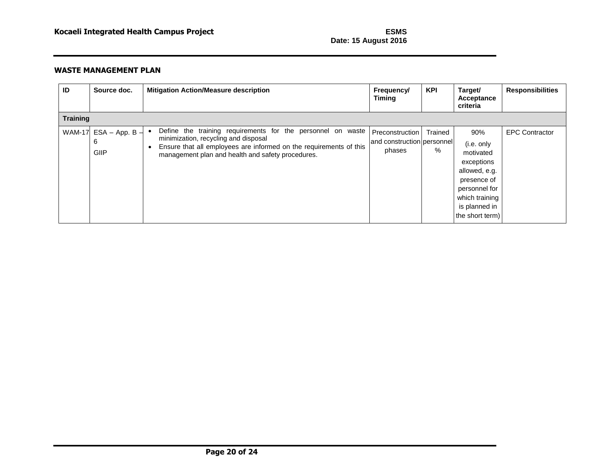| ID              | Source doc.                   | <b>Mitigation Action/Measure description</b>                                                                                                                                                                                                | <b>Frequency/</b><br><b>Timing</b>                      | <b>KPI</b>   | Target/<br>Acceptance<br>criteria                                                                                                                   | <b>Responsibilities</b> |  |  |
|-----------------|-------------------------------|---------------------------------------------------------------------------------------------------------------------------------------------------------------------------------------------------------------------------------------------|---------------------------------------------------------|--------------|-----------------------------------------------------------------------------------------------------------------------------------------------------|-------------------------|--|--|
| <b>Training</b> |                               |                                                                                                                                                                                                                                             |                                                         |              |                                                                                                                                                     |                         |  |  |
| <b>WAM-17</b>   | $ESA - App. B -$<br>6<br>GIIP | Define the training requirements for the personnel on waste<br>minimization, recycling and disposal<br>Ensure that all employees are informed on the requirements of this<br>$\bullet$<br>management plan and health and safety procedures. | Preconstruction<br>and construction personnel<br>phases | Trained<br>% | 90%<br>(i.e. only<br>motivated<br>exceptions<br>allowed, e.g.<br>presence of<br>personnel for<br>which training<br>is planned in<br>the short term) | <b>EPC Contractor</b>   |  |  |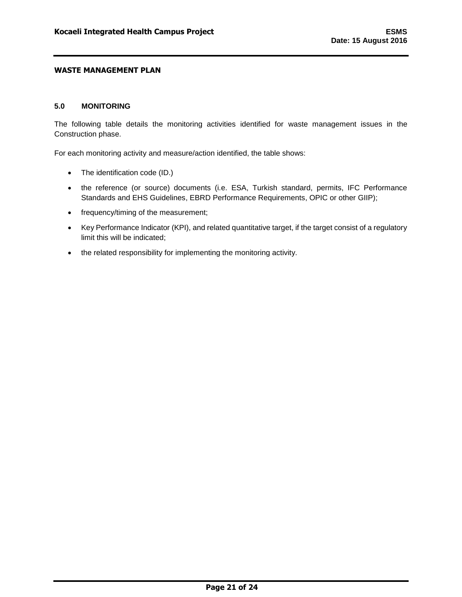#### <span id="page-22-0"></span>**5.0 MONITORING**

The following table details the monitoring activities identified for waste management issues in the Construction phase.

For each monitoring activity and measure/action identified, the table shows:

- The identification code (ID.)
- the reference (or source) documents (i.e. ESA, Turkish standard, permits, IFC Performance Standards and EHS Guidelines, EBRD Performance Requirements, OPIC or other GIIP);
- frequency/timing of the measurement;
- Key Performance Indicator (KPI), and related quantitative target, if the target consist of a regulatory limit this will be indicated;
- the related responsibility for implementing the monitoring activity.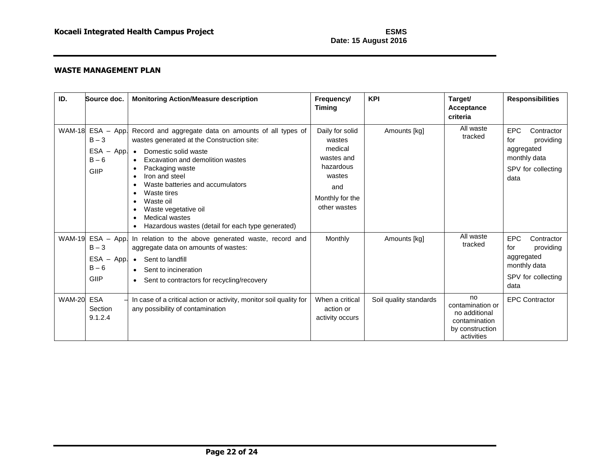| ID.           | Source doc.                                                   | <b>Monitoring Action/Measure description</b>                                                                                                                                                                                                                                                                                                                                                 | Frequency/<br><b>Timing</b>                                                                                         | <b>KPI</b>             | Target/<br>Acceptance<br>criteria                                                         | <b>Responsibilities</b>                                                                                  |
|---------------|---------------------------------------------------------------|----------------------------------------------------------------------------------------------------------------------------------------------------------------------------------------------------------------------------------------------------------------------------------------------------------------------------------------------------------------------------------------------|---------------------------------------------------------------------------------------------------------------------|------------------------|-------------------------------------------------------------------------------------------|----------------------------------------------------------------------------------------------------------|
| <b>WAM-18</b> | $ESA - App.$<br>$B - 3$<br>ESA -<br>App.<br>$B - 6$<br>GIIP   | Record and aggregate data on amounts of all types of<br>wastes generated at the Construction site:<br>Domestic solid waste<br>$\bullet$<br>Excavation and demolition wastes<br>$\bullet$<br>Packaging waste<br>Iron and steel<br>Waste batteries and accumulators<br>Waste tires<br>Waste oil<br>Waste vegetative oil<br>Medical wastes<br>Hazardous wastes (detail for each type generated) | Daily for solid<br>wastes<br>medical<br>wastes and<br>hazardous<br>wastes<br>and<br>Monthly for the<br>other wastes | Amounts [kg]           | All waste<br>tracked                                                                      | <b>EPC</b><br>Contractor<br>providing<br>for<br>aggregated<br>monthly data<br>SPV for collecting<br>data |
| <b>WAM-19</b> | $ESA - App.$<br>$B - 3$<br>$ESA -$<br>App.<br>$B - 6$<br>GIIP | In relation to the above generated waste, record and<br>aggregate data on amounts of wastes:<br>• Sent to landfill<br>• Sent to incineration<br>• Sent to contractors for recycling/recovery                                                                                                                                                                                                 | Monthly                                                                                                             | Amounts [kg]           | All waste<br>tracked                                                                      | <b>EPC</b><br>Contractor<br>providing<br>for<br>aggregated<br>monthly data<br>SPV for collecting<br>data |
| <b>WAM-20</b> | <b>ESA</b><br>Section<br>9.1.2.4                              | In case of a critical action or activity, monitor soil quality for<br>any possibility of contamination                                                                                                                                                                                                                                                                                       | When a critical<br>action or<br>activity occurs                                                                     | Soil quality standards | no<br>contamination or<br>no additional<br>contamination<br>by construction<br>activities | <b>EPC Contractor</b>                                                                                    |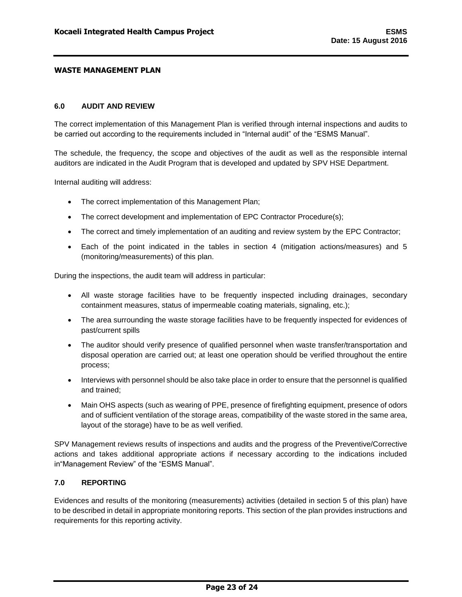#### <span id="page-24-0"></span>**6.0 AUDIT AND REVIEW**

The correct implementation of this Management Plan is verified through internal inspections and audits to be carried out according to the requirements included in "Internal audit" of the "ESMS Manual".

The schedule, the frequency, the scope and objectives of the audit as well as the responsible internal auditors are indicated in the Audit Program that is developed and updated by SPV HSE Department.

Internal auditing will address:

- The correct implementation of this Management Plan;
- The correct development and implementation of EPC Contractor Procedure(s);
- The correct and timely implementation of an auditing and review system by the EPC Contractor;
- Each of the point indicated in the tables in section 4 (mitigation actions/measures) and 5 (monitoring/measurements) of this plan.

During the inspections, the audit team will address in particular:

- All waste storage facilities have to be frequently inspected including drainages, secondary containment measures, status of impermeable coating materials, signaling, etc.);
- The area surrounding the waste storage facilities have to be frequently inspected for evidences of past/current spills
- The auditor should verify presence of qualified personnel when waste transfer/transportation and disposal operation are carried out; at least one operation should be verified throughout the entire process;
- Interviews with personnel should be also take place in order to ensure that the personnel is qualified and trained;
- Main OHS aspects (such as wearing of PPE, presence of firefighting equipment, presence of odors and of sufficient ventilation of the storage areas, compatibility of the waste stored in the same area, layout of the storage) have to be as well verified.

SPV Management reviews results of inspections and audits and the progress of the Preventive/Corrective actions and takes additional appropriate actions if necessary according to the indications included in"Management Review" of the "ESMS Manual".

# <span id="page-24-1"></span>**7.0 REPORTING**

Evidences and results of the monitoring (measurements) activities (detailed in section 5 of this plan) have to be described in detail in appropriate monitoring reports. This section of the plan provides instructions and requirements for this reporting activity.